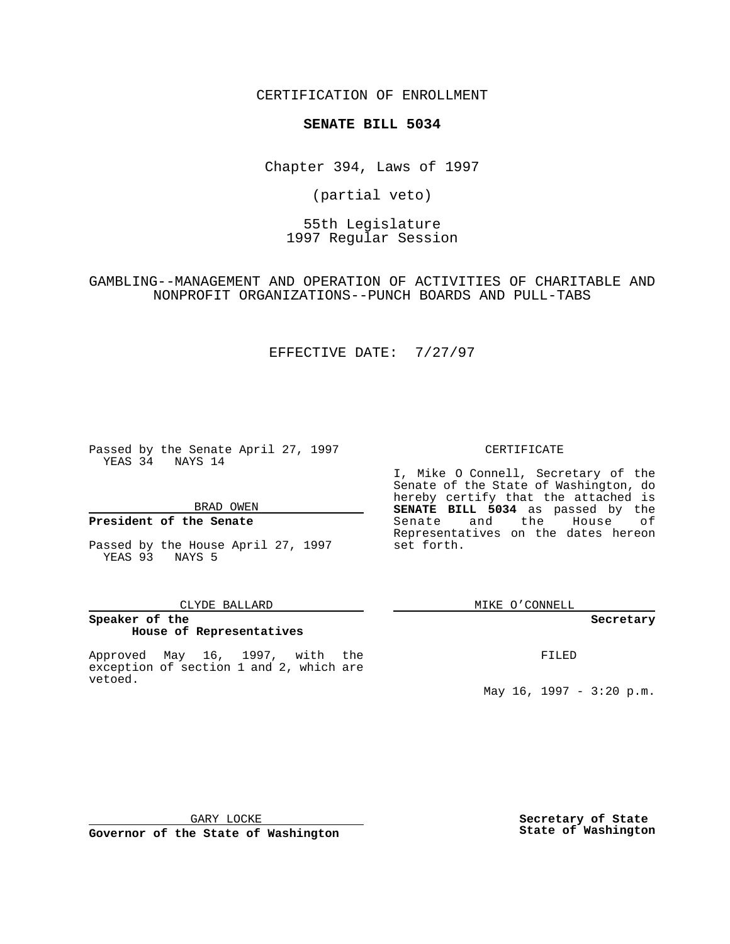CERTIFICATION OF ENROLLMENT

# **SENATE BILL 5034**

Chapter 394, Laws of 1997

(partial veto)

55th Legislature 1997 Regular Session

GAMBLING--MANAGEMENT AND OPERATION OF ACTIVITIES OF CHARITABLE AND NONPROFIT ORGANIZATIONS--PUNCH BOARDS AND PULL-TABS

### EFFECTIVE DATE: 7/27/97

Passed by the Senate April 27, 1997 YEAS 34 NAYS 14

BRAD OWEN

#### **President of the Senate**

Passed by the House April 27, 1997 YEAS 93 NAYS 5

#### CLYDE BALLARD

## **Speaker of the House of Representatives**

Approved May 16, 1997, with the exception of section 1 and 2, which are vetoed.

#### CERTIFICATE

I, Mike O Connell, Secretary of the Senate of the State of Washington, do hereby certify that the attached is **SENATE BILL 5034** as passed by the Senate and the House of Representatives on the dates hereon set forth.

MIKE O'CONNELL

#### **Secretary**

FILED

May 16, 1997 - 3:20 p.m.

GARY LOCKE

**Governor of the State of Washington**

**Secretary of State State of Washington**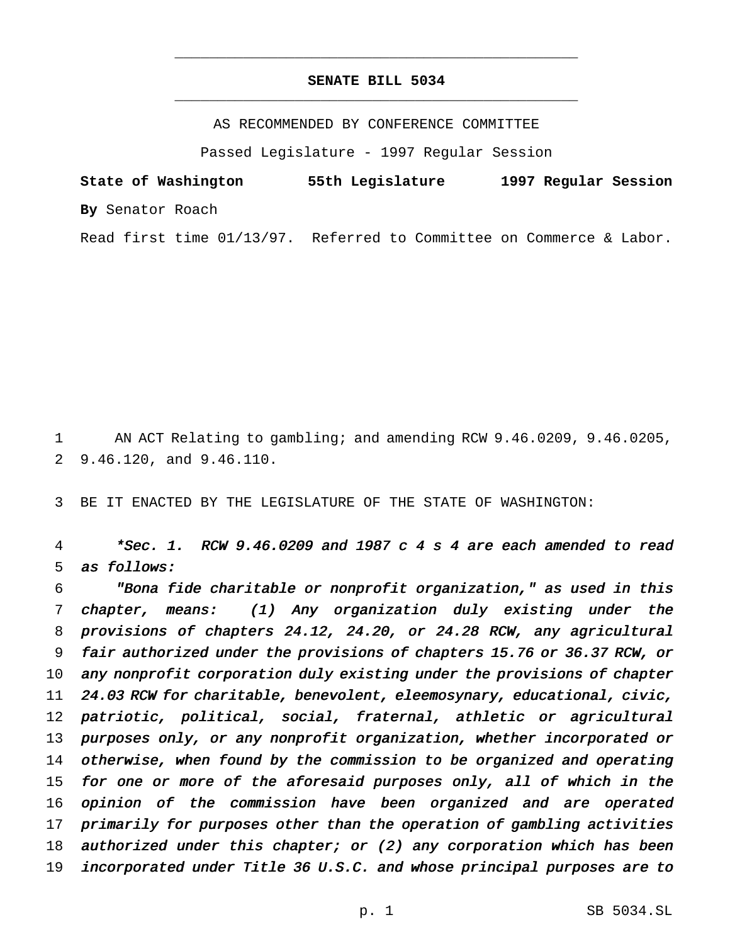## **SENATE BILL 5034** \_\_\_\_\_\_\_\_\_\_\_\_\_\_\_\_\_\_\_\_\_\_\_\_\_\_\_\_\_\_\_\_\_\_\_\_\_\_\_\_\_\_\_\_\_\_\_

\_\_\_\_\_\_\_\_\_\_\_\_\_\_\_\_\_\_\_\_\_\_\_\_\_\_\_\_\_\_\_\_\_\_\_\_\_\_\_\_\_\_\_\_\_\_\_

AS RECOMMENDED BY CONFERENCE COMMITTEE

Passed Legislature - 1997 Regular Session

**State of Washington 55th Legislature 1997 Regular Session By** Senator Roach

Read first time 01/13/97. Referred to Committee on Commerce & Labor.

 AN ACT Relating to gambling; and amending RCW 9.46.0209, 9.46.0205, 9.46.120, and 9.46.110.

BE IT ENACTED BY THE LEGISLATURE OF THE STATE OF WASHINGTON:

 \*Sec. 1. RCW 9.46.0209 and <sup>1987</sup> <sup>c</sup> <sup>4</sup> <sup>s</sup> <sup>4</sup> are each amended to read as follows:

 "Bona fide charitable or nonprofit organization," as used in this chapter, means: (1) Any organization duly existing under the provisions of chapters 24.12, 24.20, or 24.28 RCW, any agricultural fair authorized under the provisions of chapters 15.76 or 36.37 RCW, or any nonprofit corporation duly existing under the provisions of chapter 24.03 RCW for charitable, benevolent, eleemosynary, educational, civic, patriotic, political, social, fraternal, athletic or agricultural purposes only, or any nonprofit organization, whether incorporated or otherwise, when found by the commission to be organized and operating for one or more of the aforesaid purposes only, all of which in the opinion of the commission have been organized and are operated primarily for purposes other than the operation of gambling activities 18 authorized under this chapter; or  $(2)$  any corporation which has been incorporated under Title <sup>36</sup> U.S.C. and whose principal purposes are to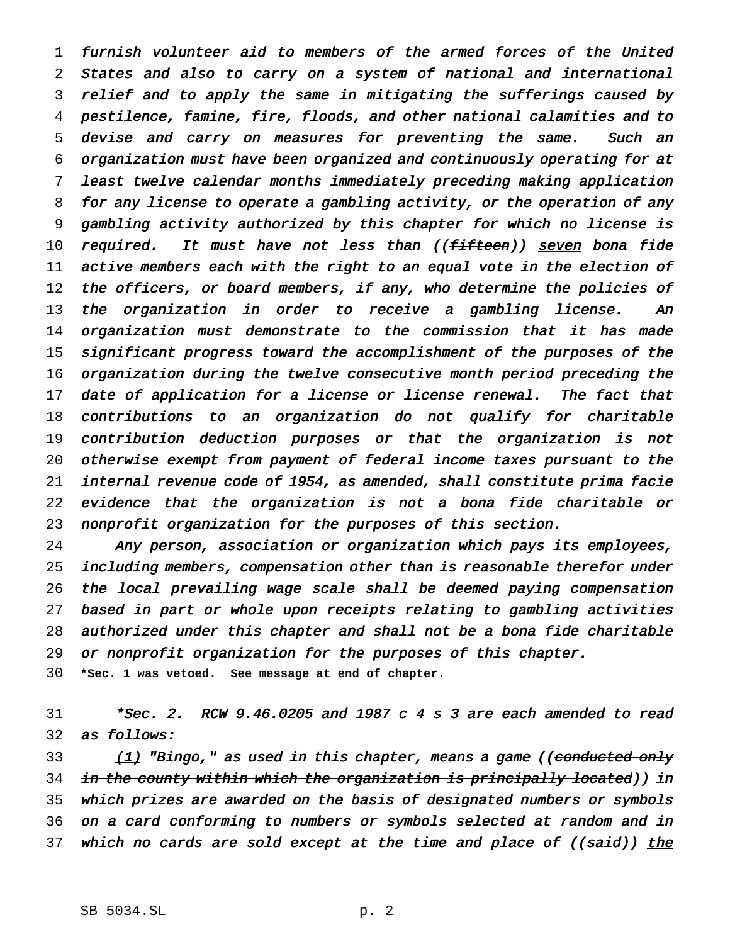furnish volunteer aid to members of the armed forces of the United States and also to carry on <sup>a</sup> system of national and international relief and to apply the same in mitigating the sufferings caused by pestilence, famine, fire, floods, and other national calamities and to devise and carry on measures for preventing the same. Such an organization must have been organized and continuously operating for at least twelve calendar months immediately preceding making application for any license to operate <sup>a</sup> gambling activity, or the operation of any gambling activity authorized by this chapter for which no license is 10 required. It must have not less than ((fifteen)) seven bona fide 11 active members each with the right to an equal vote in the election of the officers, or board members, if any, who determine the policies of 13 the organization in order to receive a gambling license. An organization must demonstrate to the commission that it has made significant progress toward the accomplishment of the purposes of the organization during the twelve consecutive month period preceding the 17 date of application for a license or license renewal. The fact that contributions to an organization do not qualify for charitable contribution deduction purposes or that the organization is not otherwise exempt from payment of federal income taxes pursuant to the internal revenue code of 1954, as amended, shall constitute prima facie evidence that the organization is not <sup>a</sup> bona fide charitable or nonprofit organization for the purposes of this section.

 Any person, association or organization which pays its employees, including members, compensation other than is reasonable therefor under the local prevailing wage scale shall be deemed paying compensation based in part or whole upon receipts relating to gambling activities authorized under this chapter and shall not be <sup>a</sup> bona fide charitable or nonprofit organization for the purposes of this chapter. **\*Sec. 1 was vetoed. See message at end of chapter.**

 \*Sec. 2. RCW 9.46.0205 and <sup>1987</sup> <sup>c</sup> <sup>4</sup> <sup>s</sup> <sup>3</sup> are each amended to read as follows:

33 (1) "Bingo," as used in this chapter, means a game ((conducted only 34 in the county within which the organization is principally located)) in which prizes are awarded on the basis of designated numbers or symbols on <sup>a</sup> card conforming to numbers or symbols selected at random and in 37 which no cards are sold except at the time and place of ((said)) the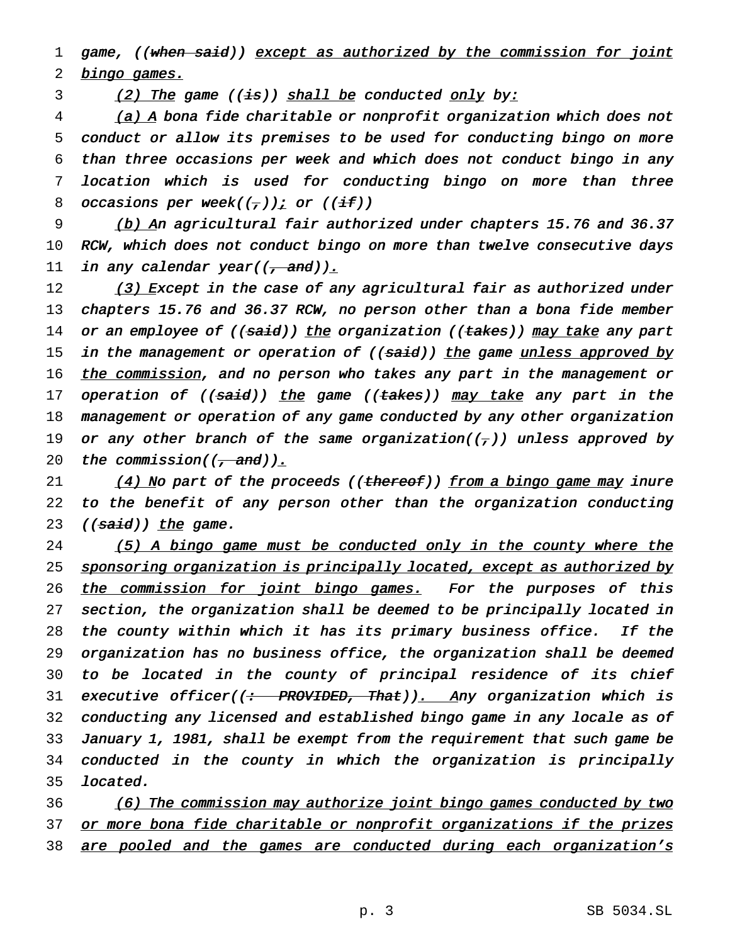1 game, ((when said)) except as authorized by the commission for joint 2 bingo games.

3 (2) The game  $((\pm s))$  shall be conducted only by:

4 (a) A bona fide charitable or nonprofit organization which does not 5 conduct or allow its premises to be used for conducting bingo on more 6 than three occasions per week and which does not conduct bingo in any 7 location which is used for conducting bingo on more than three 8 occasions per week( $(\frac{\tau}{l})$ ) or ((if))

9 (b) An agricultural fair authorized under chapters 15.76 and 36.37 10 RCW, which does not conduct bingo on more than twelve consecutive days 11 in any calendar year( $(\tau$  and)).

12 (3) Except in the case of any agricultural fair as authorized under 13 chapters 15.76 and 36.37 RCW, no person other than <sup>a</sup> bona fide member 14 or an employee of ((said)) the organization ((takes)) may take any part 15 in the management or operation of ((said)) the game unless approved by 16 the commission, and no person who takes any part in the management or 17 operation of ((<del>said</del>)) <u>the</u> game ((<del>takes</del>)) <u>may take</u> any part in the 18 management or operation of any game conducted by any other organization 19 or any other branch of the same organization( $(\tau)$ ) unless approved by 20 the commission( $\left(\frac{1}{1 + \text{ and}}\right)$ ).

21 (4) No part of the proceeds ((thereof)) from a bingo game may inure 22 to the benefit of any person other than the organization conducting 23 ((said)) the game.

24 (5) A bingo game must be conducted only in the county where the 25 sponsoring organization is principally located, except as authorized by 26 the commission for joint bingo games. For the purposes of this 27 section, the organization shall be deemed to be principally located in 28 the county within which it has its primary business office. If the 29 organization has no business office, the organization shall be deemed 30 to be located in the county of principal residence of its chief 31 executive officer( $\left(\div\right)$  PROVIDED, That)). Any organization which is 32 conducting any licensed and established bingo game in any locale as of 33 January 1, 1981, shall be exempt from the requirement that such game be 34 conducted in the county in which the organization is principally 35 located.

36 (6) The commission may authorize joint bingo games conducted by two 37 or more bona fide charitable or nonprofit organizations if the prizes 38 are pooled and the games are conducted during each organization's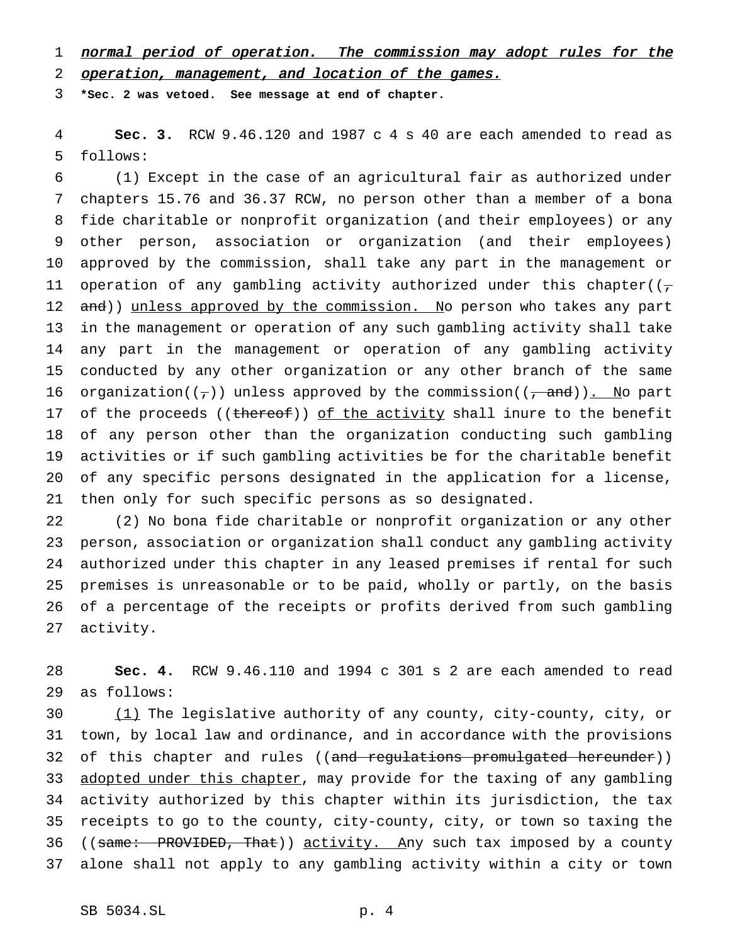1 normal period of operation. The commission may adopt rules for the

operation, management, and location of the games.

**\*Sec. 2 was vetoed. See message at end of chapter.**

 **Sec. 3.** RCW 9.46.120 and 1987 c 4 s 40 are each amended to read as follows:

 (1) Except in the case of an agricultural fair as authorized under chapters 15.76 and 36.37 RCW, no person other than a member of a bona fide charitable or nonprofit organization (and their employees) or any other person, association or organization (and their employees) approved by the commission, shall take any part in the management or 11 operation of any gambling activity authorized under this chapter( $(\tau)$ 12 and)) unless approved by the commission. No person who takes any part in the management or operation of any such gambling activity shall take any part in the management or operation of any gambling activity conducted by any other organization or any other branch of the same 16 organization( $(\tau)$ ) unless approved by the commission( $(\tau$  and)). No part 17 of the proceeds ((thereof)) of the activity shall inure to the benefit of any person other than the organization conducting such gambling activities or if such gambling activities be for the charitable benefit of any specific persons designated in the application for a license, then only for such specific persons as so designated.

 (2) No bona fide charitable or nonprofit organization or any other person, association or organization shall conduct any gambling activity authorized under this chapter in any leased premises if rental for such premises is unreasonable or to be paid, wholly or partly, on the basis of a percentage of the receipts or profits derived from such gambling activity.

 **Sec. 4.** RCW 9.46.110 and 1994 c 301 s 2 are each amended to read as follows:

 (1) The legislative authority of any county, city-county, city, or town, by local law and ordinance, and in accordance with the provisions 32 of this chapter and rules ((and regulations promulgated hereunder)) 33 adopted under this chapter, may provide for the taxing of any gambling activity authorized by this chapter within its jurisdiction, the tax receipts to go to the county, city-county, city, or town so taxing the 36 ((same: PROVIDED, That)) activity. Any such tax imposed by a county alone shall not apply to any gambling activity within a city or town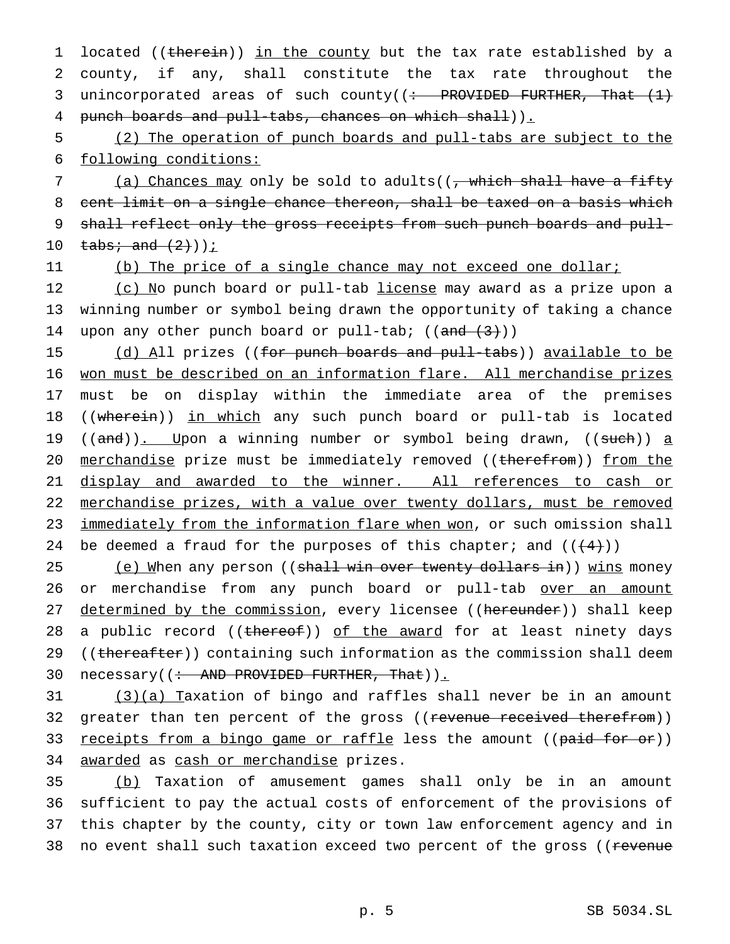1 located ((therein)) in the county but the tax rate established by a 2 county, if any, shall constitute the tax rate throughout the 3 unincorporated areas of such county( $\left( \div \text{ }$  PROVIDED FURTHER, That  $\left( 1 \right)$ 4 punch boards and pull-tabs, chances on which shall)).

5 (2) The operation of punch boards and pull-tabs are subject to the 6 following conditions:

7 (a) Chances may only be sold to adults((, which shall have a fifty 8 cent limit on a single chance thereon, shall be taxed on a basis which 9 shall reflect only the gross receipts from such punch boards and pull-10  $\text{tabs: and } (2)$ ))<u>;</u>

11 (b) The price of a single chance may not exceed one dollar;

12 (c) No punch board or pull-tab license may award as a prize upon a 13 winning number or symbol being drawn the opportunity of taking a chance 14 upon any other punch board or pull-tab;  $((and (3))$ 

15 (d) All prizes ((for punch boards and pull-tabs)) available to be 16 won must be described on an information flare. All merchandise prizes 17 must be on display within the immediate area of the premises 18 ((wherein)) in which any such punch board or pull-tab is located 19 ((and)). Upon a winning number or symbol being drawn, ((such)) a 20 merchandise prize must be immediately removed ((therefrom)) from the 21 display and awarded to the winner. All references to cash or 22 merchandise prizes, with a value over twenty dollars, must be removed 23 immediately from the information flare when won, or such omission shall 24 be deemed a fraud for the purposes of this chapter; and  $((+4))$ 

25 (e) When any person ((shall win over twenty dollars in)) wins money 26 or merchandise from any punch board or pull-tab over an amount 27 determined by the commission, every licensee ((hereunder)) shall keep 28 a public record ((thereof)) of the award for at least ninety days 29 ((thereafter)) containing such information as the commission shall deem 30 necessary((: AND PROVIDED FURTHER, That)).

31 (3)(a) Taxation of bingo and raffles shall never be in an amount 32 greater than ten percent of the gross ((revenue received therefrom)) 33 <u>receipts from a bingo game or raffle</u> less the amount ((<del>paid for or</del>)) 34 awarded as cash or merchandise prizes.

 (b) Taxation of amusement games shall only be in an amount sufficient to pay the actual costs of enforcement of the provisions of this chapter by the county, city or town law enforcement agency and in 38 no event shall such taxation exceed two percent of the gross ((revenue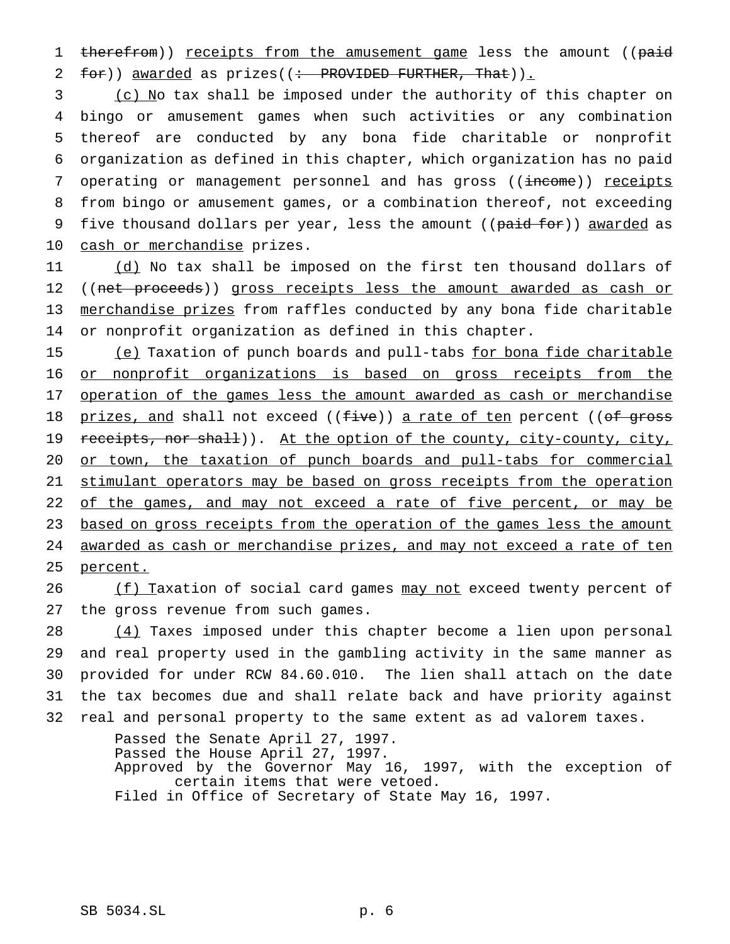1 therefrom)) receipts from the amusement game less the amount ((paid  $2 \text{ for } j$  awarded as prizes((: PROVIDED FURTHER, That)).

3 (c) No tax shall be imposed under the authority of this chapter on 4 bingo or amusement games when such activities or any combination 5 thereof are conducted by any bona fide charitable or nonprofit 6 organization as defined in this chapter, which organization has no paid 7 operating or management personnel and has gross ((income)) receipts 8 from bingo or amusement games, or a combination thereof, not exceeding 9 five thousand dollars per year, less the amount ((paid for)) awarded as 10 cash or merchandise prizes.

11 (d) No tax shall be imposed on the first ten thousand dollars of 12 ((net proceeds)) gross receipts less the amount awarded as cash or 13 merchandise prizes from raffles conducted by any bona fide charitable 14 or nonprofit organization as defined in this chapter.

15 (e) Taxation of punch boards and pull-tabs for bona fide charitable 16 or nonprofit organizations is based on gross receipts from the 17 operation of the games less the amount awarded as cash or merchandise 18 prizes, and shall not exceed ((five)) a rate of ten percent ((of gross 19 receipts, nor shall)). At the option of the county, city-county, city, 20 or town, the taxation of punch boards and pull-tabs for commercial 21 stimulant operators may be based on gross receipts from the operation 22 of the games, and may not exceed a rate of five percent, or may be 23 based on gross receipts from the operation of the games less the amount 24 awarded as cash or merchandise prizes, and may not exceed a rate of ten 25 percent.

26 (f) Taxation of social card games may not exceed twenty percent of 27 the gross revenue from such games.

 (4) Taxes imposed under this chapter become a lien upon personal and real property used in the gambling activity in the same manner as provided for under RCW 84.60.010. The lien shall attach on the date the tax becomes due and shall relate back and have priority against real and personal property to the same extent as ad valorem taxes.

> Passed the Senate April 27, 1997. Passed the House April 27, 1997. Approved by the Governor May 16, 1997, with the exception of certain items that were vetoed. Filed in Office of Secretary of State May 16, 1997.